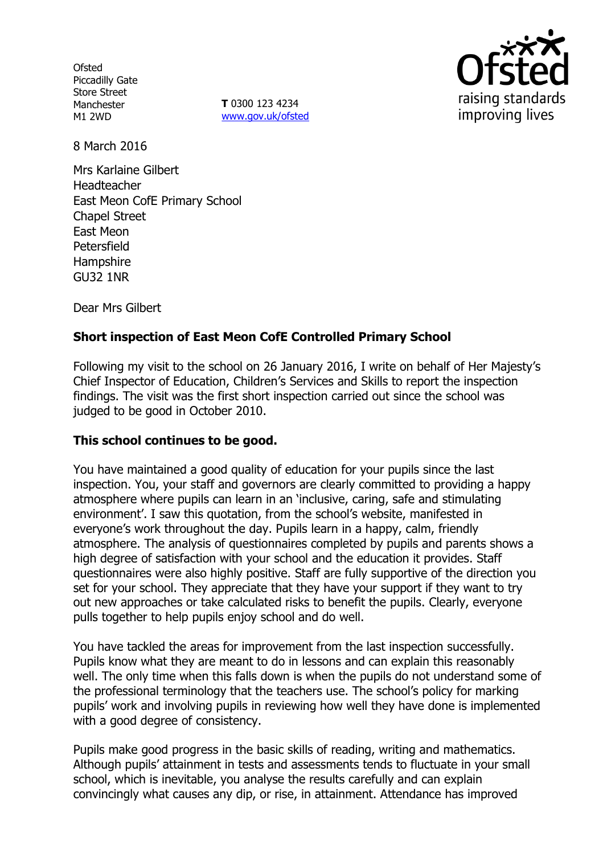**Ofsted** Piccadilly Gate Store Street Manchester M1 2WD

**T** 0300 123 4234 www.gov.uk/ofsted



8 March 2016

Mrs Karlaine Gilbert Headteacher East Meon CofE Primary School Chapel Street East Meon Petersfield **Hampshire** GU32 1NR

Dear Mrs Gilbert

# **Short inspection of East Meon CofE Controlled Primary School**

Following my visit to the school on 26 January 2016, I write on behalf of Her Majesty's Chief Inspector of Education, Children's Services and Skills to report the inspection findings. The visit was the first short inspection carried out since the school was judged to be good in October 2010.

# **This school continues to be good.**

You have maintained a good quality of education for your pupils since the last inspection. You, your staff and governors are clearly committed to providing a happy atmosphere where pupils can learn in an 'inclusive, caring, safe and stimulating environment'. I saw this quotation, from the school's website, manifested in everyone's work throughout the day. Pupils learn in a happy, calm, friendly atmosphere. The analysis of questionnaires completed by pupils and parents shows a high degree of satisfaction with your school and the education it provides. Staff questionnaires were also highly positive. Staff are fully supportive of the direction you set for your school. They appreciate that they have your support if they want to try out new approaches or take calculated risks to benefit the pupils. Clearly, everyone pulls together to help pupils enjoy school and do well.

You have tackled the areas for improvement from the last inspection successfully. Pupils know what they are meant to do in lessons and can explain this reasonably well. The only time when this falls down is when the pupils do not understand some of the professional terminology that the teachers use. The school's policy for marking pupils' work and involving pupils in reviewing how well they have done is implemented with a good degree of consistency.

Pupils make good progress in the basic skills of reading, writing and mathematics. Although pupils' attainment in tests and assessments tends to fluctuate in your small school, which is inevitable, you analyse the results carefully and can explain convincingly what causes any dip, or rise, in attainment. Attendance has improved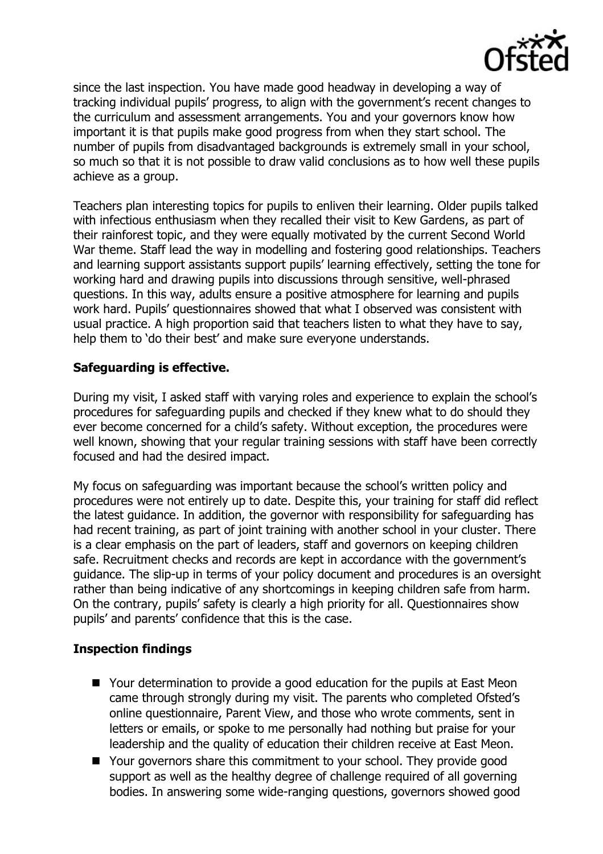

since the last inspection. You have made good headway in developing a way of tracking individual pupils' progress, to align with the government's recent changes to the curriculum and assessment arrangements. You and your governors know how important it is that pupils make good progress from when they start school. The number of pupils from disadvantaged backgrounds is extremely small in your school, so much so that it is not possible to draw valid conclusions as to how well these pupils achieve as a group.

Teachers plan interesting topics for pupils to enliven their learning. Older pupils talked with infectious enthusiasm when they recalled their visit to Kew Gardens, as part of their rainforest topic, and they were equally motivated by the current Second World War theme. Staff lead the way in modelling and fostering good relationships. Teachers and learning support assistants support pupils' learning effectively, setting the tone for working hard and drawing pupils into discussions through sensitive, well-phrased questions. In this way, adults ensure a positive atmosphere for learning and pupils work hard. Pupils' questionnaires showed that what I observed was consistent with usual practice. A high proportion said that teachers listen to what they have to say, help them to 'do their best' and make sure everyone understands.

### **Safeguarding is effective.**

During my visit, I asked staff with varying roles and experience to explain the school's procedures for safeguarding pupils and checked if they knew what to do should they ever become concerned for a child's safety. Without exception, the procedures were well known, showing that your regular training sessions with staff have been correctly focused and had the desired impact.

My focus on safeguarding was important because the school's written policy and procedures were not entirely up to date. Despite this, your training for staff did reflect the latest guidance. In addition, the governor with responsibility for safeguarding has had recent training, as part of joint training with another school in your cluster. There is a clear emphasis on the part of leaders, staff and governors on keeping children safe. Recruitment checks and records are kept in accordance with the government's guidance. The slip-up in terms of your policy document and procedures is an oversight rather than being indicative of any shortcomings in keeping children safe from harm. On the contrary, pupils' safety is clearly a high priority for all. Questionnaires show pupils' and parents' confidence that this is the case.

# **Inspection findings**

- Your determination to provide a good education for the pupils at East Meon came through strongly during my visit. The parents who completed Ofsted's online questionnaire, Parent View, and those who wrote comments, sent in letters or emails, or spoke to me personally had nothing but praise for your leadership and the quality of education their children receive at East Meon.
- Your governors share this commitment to your school. They provide good support as well as the healthy degree of challenge required of all governing bodies. In answering some wide-ranging questions, governors showed good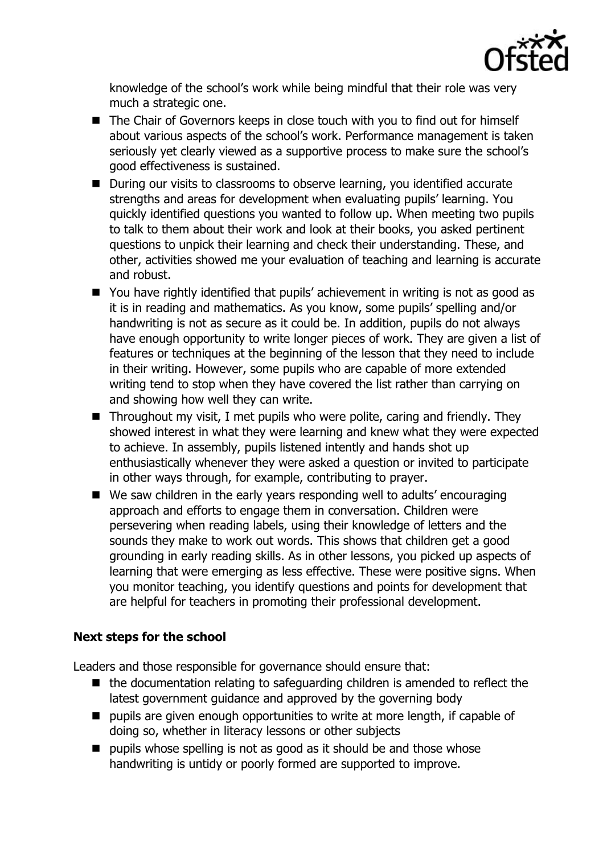

knowledge of the school's work while being mindful that their role was very much a strategic one.

- The Chair of Governors keeps in close touch with you to find out for himself about various aspects of the school's work. Performance management is taken seriously yet clearly viewed as a supportive process to make sure the school's good effectiveness is sustained.
- During our visits to classrooms to observe learning, you identified accurate strengths and areas for development when evaluating pupils' learning. You quickly identified questions you wanted to follow up. When meeting two pupils to talk to them about their work and look at their books, you asked pertinent questions to unpick their learning and check their understanding. These, and other, activities showed me your evaluation of teaching and learning is accurate and robust.
- You have rightly identified that pupils' achievement in writing is not as good as it is in reading and mathematics. As you know, some pupils' spelling and/or handwriting is not as secure as it could be. In addition, pupils do not always have enough opportunity to write longer pieces of work. They are given a list of features or techniques at the beginning of the lesson that they need to include in their writing. However, some pupils who are capable of more extended writing tend to stop when they have covered the list rather than carrying on and showing how well they can write.
- $\blacksquare$  Throughout my visit, I met pupils who were polite, caring and friendly. They showed interest in what they were learning and knew what they were expected to achieve. In assembly, pupils listened intently and hands shot up enthusiastically whenever they were asked a question or invited to participate in other ways through, for example, contributing to prayer.
- We saw children in the early years responding well to adults' encouraging approach and efforts to engage them in conversation. Children were persevering when reading labels, using their knowledge of letters and the sounds they make to work out words. This shows that children get a good grounding in early reading skills. As in other lessons, you picked up aspects of learning that were emerging as less effective. These were positive signs. When you monitor teaching, you identify questions and points for development that are helpful for teachers in promoting their professional development.

### **Next steps for the school**

Leaders and those responsible for governance should ensure that:

- the documentation relating to safeguarding children is amended to reflect the latest government guidance and approved by the governing body
- **P** pupils are given enough opportunities to write at more length, if capable of doing so, whether in literacy lessons or other subjects
- **P** pupils whose spelling is not as good as it should be and those whose handwriting is untidy or poorly formed are supported to improve.